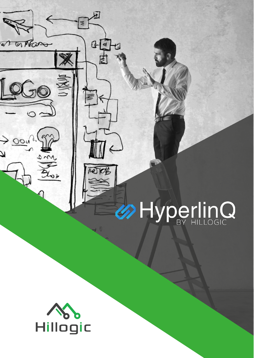# **OHyperlinQ**



 $\overline{\mathfrak{p}}$ 

 $F_4$ 

士

骂

€

1図

W G Mass

 $\frac{1}{\sqrt{1-\frac{1}{1-\frac{1}{1-\frac{1}{1-\frac{1}{1-\frac{1}{1-\frac{1}{1-\frac{1}{1-\frac{1}{1-\frac{1}{1-\frac{1}{1-\frac{1}{1-\frac{1}{1-\frac{1}{1-\frac{1}{1-\frac{1}{1-\frac{1}{1-\frac{1}{1-\frac{1}{1-\frac{1}{1-\frac{1}{1-\frac{1}{1-\frac{1}{1-\frac{1}{1-\frac{1}{1-\frac{1}{1-\frac{1}{1-\frac{1}{1-\frac{1}{1-\frac{1}{1-\frac{1}{1-\frac{1}{1-\frac{1}{1-\frac{1}{1-\frac{1}{1-\frac{1}{1-\$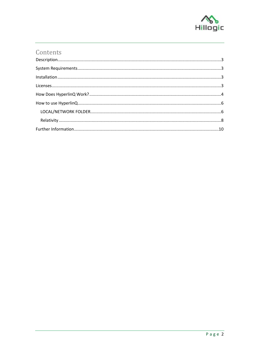

# Contents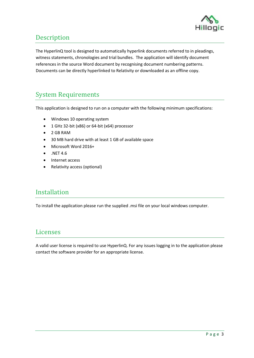

### <span id="page-2-0"></span>Description

The HyperlinQ tool is designed to automatically hyperlink documents referred to in pleadings, witness statements, chronologies and trial bundles. The application will identify document references in the source Word document by recognising document numbering patterns. Documents can be directly hyperlinked to Relativity or downloaded as an offline copy.

## <span id="page-2-1"></span>System Requirements

This application is designed to run on a computer with the following minimum specifications:

- Windows 10 operating system
- 1 GHz 32-bit (x86) or 64-bit (x64) processor
- 2 GB RAM
- 30 MB hard drive with at least 1 GB of available space
- Microsoft Word 2016+
- $\bullet$  .NET 4.6
- Internet access
- Relativity access (optional)

#### <span id="page-2-2"></span>Installation

To install the application please run the supplied .msi file on your local windows computer.

#### <span id="page-2-3"></span>Licenses

A valid user license is required to use HyperlinQ. For any issues logging in to the application please contact the software provider for an appropriate license.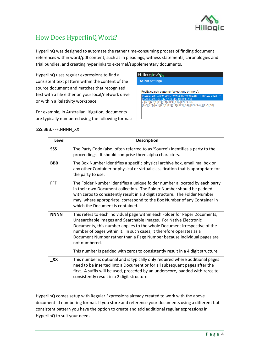

# <span id="page-3-0"></span>How Does HyperlinQ Work?

HyperlinQ was designed to automate the rather time-consuming process of finding document references within word/pdf content, such as in pleadings, witness statements, chronologies and trial bundles, and creating hyperlinks to external/supplementary documents.

HyperlinQ uses regular expressions to find a consistent text pattern within the content of the source document and matches that recognized text with a file either on your local/network drive or within a Relativity workspace.

For example, in Australian litigation, documents are typically numbered using the following format:

# Hillogic **AS**

**Select Settings** 

RegEx search patterns (select one or more):  $[2,6)(([]]{1}[A-Z0-9]{2,5})$ ?  $(2.5)$ \, [0-9] $(2.4)$ \, [0-9] $\{2.4\}$ \, [0-\b[A-Z]{2,8}\.[0-9]{3,4}\.[0-9]{3,4}\.[0-9]{3,4}\b<br>[A-Z]{2,8}\.[A-Z]{2,8}\.[0-9]{3,4}\.[0-9]{3,4}\.[0-9]{3,4}]

#### SSS.BBB.FFF.NNNN\_XX

| Level       | <b>Description</b>                                                                                                                                                                                                                                                                                                                                                                                                                                                                |
|-------------|-----------------------------------------------------------------------------------------------------------------------------------------------------------------------------------------------------------------------------------------------------------------------------------------------------------------------------------------------------------------------------------------------------------------------------------------------------------------------------------|
| <b>SSS</b>  | The Party Code (also, often referred to as 'Source') identifies a party to the<br>proceedings. It should comprise three alpha characters.                                                                                                                                                                                                                                                                                                                                         |
| <b>BBB</b>  | The Box Number identifies a specific physical archive box, email mailbox or<br>any other Container or physical or virtual classification that is appropriate for<br>the party to use.                                                                                                                                                                                                                                                                                             |
| <b>FFF</b>  | The Folder Number identifies a unique folder number allocated by each party<br>in their own Document collection. The Folder Number should be padded<br>with zeros to consistently result in a 3 digit structure. The Folder Number<br>may, where appropriate, correspond to the Box Number of any Container in<br>which the Document is contained.                                                                                                                                |
| <b>NNNN</b> | This refers to each individual page within each Folder for Paper Documents,<br>Unsearchable Images and Searchable Images. For Native Electronic<br>Documents, this number applies to the whole Document irrespective of the<br>number of pages within it. In such cases, it therefore operates as a<br>Document Number rather than a Page Number because individual pages are<br>not numbered.<br>This number is padded with zeros to consistently result in a 4 digit structure. |
| XX          | This number is optional and is typically only required where additional pages<br>need to be inserted into a Document or for all subsequent pages after the<br>first. A suffix will be used, preceded by an underscore, padded with zeros to<br>consistently result in a 2 digit structure.                                                                                                                                                                                        |

HyperlinQ comes setup with Regular Expressions already created to work with the above document id numbering format. If you store and reference your documents using a different but consistent pattern you have the option to create and add additional regular expressions in HyperlinQ to suit your needs.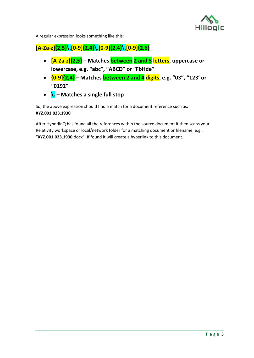

A regular expression looks something like this:

#### **[A-Za-z]{2,5}\.[0-9]{2,4}\.[0-9]{2,4}\.[0-9]{2,6}**

- **[A-Za-z]{2,5} – Matches between 2 and 5 letters, uppercase or lowercase, e.g. "abc", "ABCD" or "FbHde"**
- **{0-9]{2,4} – Matches between 2 and 4 digits, e.g. "03", "123' or "0192"**
- **\. – Matches a single full stop**

So, the above expression should find a match for a document reference such as: **XYZ.001.023.1930**

After HyperlinQ has found all the references within the source document it then scans your Relativity workspace or local/network folder for a matching document or filename, e.g., "**XYZ.001.023.1930**.docx". If found it will create a hyperlink to this document.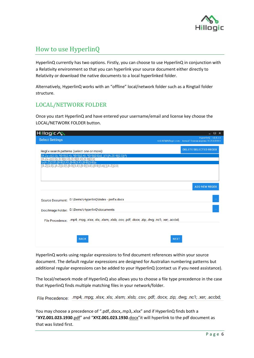

#### <span id="page-5-0"></span>How to use HyperlinQ

HyperlinQ currently has two options. Firstly, you can choose to use HyperlinQ in conjunction with a Relativity environment so that you can hyperlink your source document either directly to Relativity or download the native documents to a local hyperlinked folder.

Alternatively, HyperlinQ works with an "offline" local/network folder such as a Ringtail folder structure.

#### <span id="page-5-1"></span>LOCAL/NETWORK FOLDER

Once you start HyperlinQ and have entered your username/email and license key choose the LOCAL/NETWORK FOLDER button.

| Hillogic <b>N</b>                                 |                                                                                                                                                                                                                                                             |             | – □ ×                                                                             |
|---------------------------------------------------|-------------------------------------------------------------------------------------------------------------------------------------------------------------------------------------------------------------------------------------------------------------|-------------|-----------------------------------------------------------------------------------|
| <b>Select Settings</b>                            |                                                                                                                                                                                                                                                             |             | HyperlinQ - v2.0.11<br>rick.hill@hillogic.com - Annual license expires 31/12/2021 |
| [A-Za-z]{2,5}\.[0-9]{2,4}\.[0-9]{2,4}\.[0-9]{2,6} | RegEx search patterns (select one or more):<br>[A-Za-z]{2,5}\.?[0-9]{2,4}\.?[0-9]{2,4}\.?[0-9]{2,6}(([_]{1}[A-Z0-9]{2,5})?)<br>\b[A-Z]{2,8}\.[0-9]{3,4}\.[0-9]{3,4}\.[0-9]{3,4}\b<br>[A-Z]{2,8}\.[A-Z]{2,8}\.[0-9]{3,4}\.[0-9]{3,4}\.[0-9]{3,4}[][A-Z]{2,8} |             | <b>DELETE SELECTED REGEX</b>                                                      |
|                                                   | D:\Demo\HyperlinQ\Index - prefix.docx                                                                                                                                                                                                                       |             | <b>ADD NEW REGEX</b>                                                              |
| <b>Source Document:</b><br>Doc/Image Folder:      | D:\Demo\HyperlinQ\documents                                                                                                                                                                                                                                 |             | $\ldots$                                                                          |
| File Precedence:                                  | .mp4; .mpg; .xlsx; .xls; .xlsm; .xlsb; .csv; .pdf; .docx; .zip; .dwg; .nc1; .xer; .accbd;<br><b>BACK</b>                                                                                                                                                    | <b>NEXT</b> |                                                                                   |

HyperlinQ works using regular expressions to find document references within your source document. The default regular expressions are designed for Australian numbering patterns but additional regular expressions can be added to your HyperlinQ (contact us if you need assistance).

The local/network mode of HyperlinQ also allows you to choose a file type precedence in the case that HyperlinQ finds multiple matching files in your network/folder.

File Precedence: .mp4; .mpg; .xlsx; .xls; .xlsm; .xlsb; .csv; .pdf; .docx; .zip; .dwg; .nc1; .xer; .accbd;

You may choose a precedence of ".pdf,.docx,.mp3,.xlsx" and if HyperlinQ finds both a "**XYZ.001.023.1930**.pdf" and "**XYZ.001.023.1930**.docx"it will hyperlink to the pdf document as that was listed first.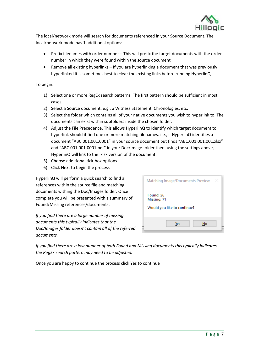

The local/network mode will search for documents referenced in your Source Document. The local/network mode has 1 additional options:

- Prefix filenames with order number This will prefix the target documents with the order number in which they were found within the source document
- Remove all existing hyperlinks If you are hyperlinking a document that was previously hyperlinked it is sometimes best to clear the existing links before running HyperlinQ.

To begin:

- 1) Select one or more RegEx search patterns. The first pattern should be sufficient in most cases.
- 2) Select a Source document, e.g., a Witness Statement, Chronologies, etc.
- 3) Select the folder which contains all of your native documents you wish to hyperlink to. The documents can exist within subfolders inside the chosen folder.
- 4) Adjust the File Precedence. This allows HyperlinQ to identify which target document to hyperlink should it find one or more matching filenames. i.e., if HyperlinQ identifies a document "ABC.001.001.0001" in your source document but finds "ABC.001.001.001.xlsx" and "ABC.001.001.0001.pdf" in your Doc/Image folder then, using the settings above, HyperlinQ will link to the .xlsx version of the document.
- 5) Choose additional tick-box options
- 6) Click Next to begin the process

HyperlinQ will perform a quick search to find all references within the source file and matching documents withing the Doc/Images folder. Once complete you will be presented with a summary of Found/Missing references/documents.

*If you find there are a large number of missing documents this typically indicates that the Doc/Images folder doesn't contain all of the referred documents.*

| Matching Image/Documents Preview                        |  |
|---------------------------------------------------------|--|
| Found: 26<br>Missing: 71<br>Would you like to continue? |  |
| Yes<br>No                                               |  |

*If you find there are a low number of both Found and Missing documents this typically indicates the RegEx search pattern may need to be adjusted.*

Once you are happy to continue the process click Yes to continue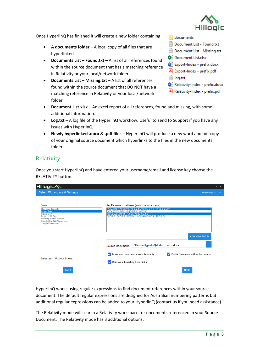

Once HyperlinQ has finished it will create a new folder containing:

- **A documents folder** A local copy of all files that are hyperlinked.
- **Documents List – Found.txt** A list of all references found within the source document that has a matching reference in Relativity or your local/network folder.
- **Documents List – Missing.txt**  A list of all references found within the source document that DO NOT have a matching reference in Relativity or your local/network folder.
- documents
- Document List Found.txt
- Document List Missing.txt
- **肉= Document List.xlsx**
- m= Export-Index prefix.docx
- A Export-Index prefix.pdf
- ia log.txt
- Relativity-Index prefix.docx
- Relativity-Index prefix.pdf
- **Document List.xlsx** An excel report of all references, found and missing, with some additional information.
- **Log.txt** A log file of the HyperlinQ workflow. Useful to send to Support if you have any issues with HyperlinQ.
- **Newly hyperlinked .docx & .pdf files** HyperlinQ will produce a new word and pdf copy of your original source document which hyperlinks to the files in the new documents folder.

#### <span id="page-7-0"></span>Relativity

Once you start HyperlinQ and have entered your username/email and license key choose the RELATIVITY button.

| Hillogic <b>S</b><br><b>Select Workspace &amp; Settings</b>                                                                                                                    |                                                                                                                                                                                                                                                                                                                                                    | $  \times$<br>HyperlinQ - v2.0.11  |
|--------------------------------------------------------------------------------------------------------------------------------------------------------------------------------|----------------------------------------------------------------------------------------------------------------------------------------------------------------------------------------------------------------------------------------------------------------------------------------------------------------------------------------------------|------------------------------------|
| Search:<br>New Case Template<br>Project Bravo<br><b>Project USA</b><br>Project USA Two<br><b>Relativity Starter Template</b><br>Sample Data Grid Workspace<br>Sample Workspace | RegEx search patterns (select one or more):<br>[A-Za-z]{2,5}\.?[0-9]{2,4}\.?[0-9]{2,4}\.?[0-9]{2,6}(([_]{1}[A-Z0-9]{2,5})?)<br>$[A-Za-z]\{2,5\}\$ $[0-9]\{2,4\}$ $[0-9]\{2,4\}$ $[0-9]\{2,6\}$<br>\b[A-Z]{2,8}\.[0-9]{3,4}\.[0-9]{3,4}\.[0-9]{3,4}\b<br>$[A-Z]\{2,8\}$ $[A-Z]\{2,8\}$ $[0-9]\{3,4\}$ $[0-9]\{3,4\}$ $[0-9]\{3,4\}$ $[1A-Z]\{2,8\}$ | <b>ADD NEW REGEX</b>               |
|                                                                                                                                                                                | D:\Demo\HyperlinQ\Index - prefix.docx<br><b>Source Document:</b>                                                                                                                                                                                                                                                                                   | $\ldots$                           |
| <b>Project Bravo</b><br>Selected:                                                                                                                                              | Download documents from Relativity<br>Remove all existing hyperlinks                                                                                                                                                                                                                                                                               | Prefix filenames with order number |
| <b>BACK</b>                                                                                                                                                                    |                                                                                                                                                                                                                                                                                                                                                    | <b>NEXT</b>                        |

HyperlinQ works using regular expressions to find document references within your source document. The default regular expressions are designed for Australian numbering patterns but additional regular expressions can be added to your HyperlinQ (contact us if you need assistance).

The Relativity mode will search a Relativity workspace for documents referenced in your Source Document. The Relativity mode has 3 additional options: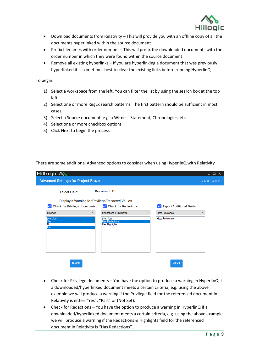

- Download documents from Relativity This will provide you with an offline copy of all the documents hyperlinked within the source document
- Prefix filenames with order number This will prefix the downloaded documents with the order number in which they were found within the source document
- Remove all existing hyperlinks If you are hyperlinking a document that was previously hyperlinked it is sometimes best to clear the existing links before running HyperlinQ.

To begin:

- 1) Select a workspace from the left. You can filter the list by using the search box at the top left.
- 2) Select one or more RegEx search patterns. The first pattern should be sufficient in most cases.
- 3) Select a Source document, e.g. a Witness Statement, Chronologies, etc.
- 4) Select one or more checkbox options
- 5) Click Next to begin the process

There are some additional Advanced options to consider when using HyperlinQ with Relativity

| Hillogic <b>N</b>                             |                                                      |                                 | $\Box$<br>$\boldsymbol{\mathsf{x}}$ |
|-----------------------------------------------|------------------------------------------------------|---------------------------------|-------------------------------------|
| <b>Advanced Settings for Project Bravo</b>    |                                                      |                                 | HyperlinQ - v2.0.11                 |
| <b>Target Field:</b>                          | Document ID                                          |                                 |                                     |
|                                               | Display a Warning for Privilege/Redacted Values      |                                 |                                     |
| Check for Privilege documents<br>$\checkmark$ | <b>Check for Redactions</b><br>$\vert \vee \vert$    | <b>Export Additional Fields</b> |                                     |
| Privilege<br>$\checkmark$                     | Redactions & Highlights<br>$\checkmark$              | <b>Host Reference</b>           | $\checkmark$                        |
| (Not Set)<br>Yes<br>N <sub>o</sub><br>Part    | (Not Set)<br><b>Has Redactions</b><br>Has Highlights | <b>Host Reference</b>           |                                     |
| <b>BACK</b>                                   |                                                      | <b>NEXT</b>                     |                                     |

- Check for Privilege documents You have the option to produce a warning in HyperlinQ if a downloaded/hyperlinked document meets a certain criteria, e.g. using the above example we will produce a warning if the Privilege field for the referenced document in Relativity is either "Yes", "Part" or (Not Set).
- Check for Redactions You have the option to produce a warning in HyperlinQ if a downloaded/hyperlinked document meets a certain criteria, e.g. using the above example we will produce a warning if the Redactions & Highlights field for the referenced document in Relativity is "Has Redactions".